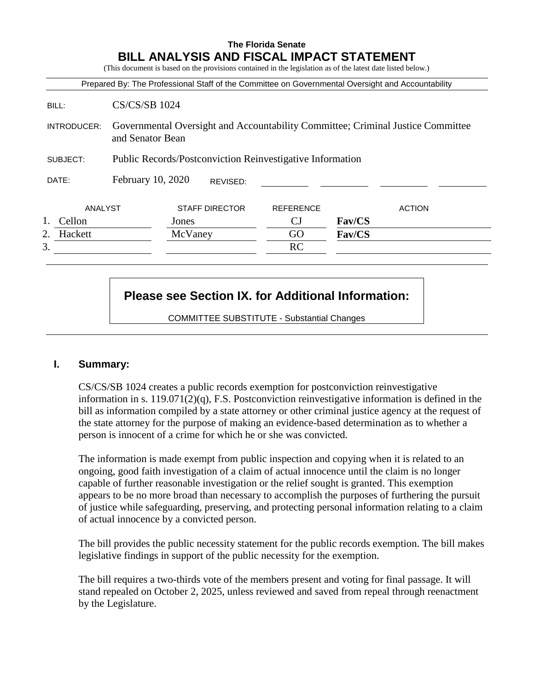# **The Florida Senate BILL ANALYSIS AND FISCAL IMPACT STATEMENT**

(This document is based on the provisions contained in the legislation as of the latest date listed below.)

|               |                                                                                                     |                       |                  | Prepared By: The Professional Staff of the Committee on Governmental Oversight and Accountability |
|---------------|-----------------------------------------------------------------------------------------------------|-----------------------|------------------|---------------------------------------------------------------------------------------------------|
| BILL:         | <b>CS/CS/SB 1024</b>                                                                                |                       |                  |                                                                                                   |
| INTRODUCER:   | Governmental Oversight and Accountability Committee; Criminal Justice Committee<br>and Senator Bean |                       |                  |                                                                                                   |
| SUBJECT:      | <b>Public Records/Postconviction Reinvestigative Information</b>                                    |                       |                  |                                                                                                   |
| DATE:         | February 10, 2020                                                                                   | REVISED:              |                  |                                                                                                   |
| ANALYST       |                                                                                                     | <b>STAFF DIRECTOR</b> | <b>REFERENCE</b> | <b>ACTION</b>                                                                                     |
| Cellon        |                                                                                                     | Jones                 | СJ               | <b>Fav/CS</b>                                                                                     |
| 2.<br>Hackett |                                                                                                     | McVaney               | GO               | <b>Fav/CS</b>                                                                                     |
| 3.            |                                                                                                     |                       | RC               |                                                                                                   |

# **Please see Section IX. for Additional Information:**

COMMITTEE SUBSTITUTE - Substantial Changes

#### **I. Summary:**

CS/CS/SB 1024 creates a public records exemption for postconviction reinvestigative information in s. 119.071(2)(q), F.S. Postconviction reinvestigative information is defined in the bill as information compiled by a state attorney or other criminal justice agency at the request of the state attorney for the purpose of making an evidence-based determination as to whether a person is innocent of a crime for which he or she was convicted.

The information is made exempt from public inspection and copying when it is related to an ongoing, good faith investigation of a claim of actual innocence until the claim is no longer capable of further reasonable investigation or the relief sought is granted. This exemption appears to be no more broad than necessary to accomplish the purposes of furthering the pursuit of justice while safeguarding, preserving, and protecting personal information relating to a claim of actual innocence by a convicted person.

The bill provides the public necessity statement for the public records exemption. The bill makes legislative findings in support of the public necessity for the exemption.

The bill requires a two-thirds vote of the members present and voting for final passage. It will stand repealed on October 2, 2025, unless reviewed and saved from repeal through reenactment by the Legislature.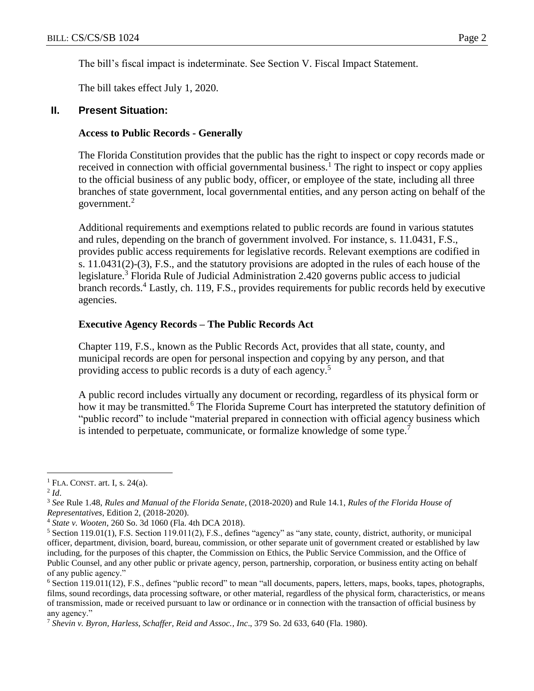The bill's fiscal impact is indeterminate. See Section V. Fiscal Impact Statement.

The bill takes effect July 1, 2020.

#### **II. Present Situation:**

#### **Access to Public Records - Generally**

The Florida Constitution provides that the public has the right to inspect or copy records made or received in connection with official governmental business.<sup>1</sup> The right to inspect or copy applies to the official business of any public body, officer, or employee of the state, including all three branches of state government, local governmental entities, and any person acting on behalf of the government.<sup>2</sup>

Additional requirements and exemptions related to public records are found in various statutes and rules, depending on the branch of government involved. For instance, s. 11.0431, F.S., provides public access requirements for legislative records. Relevant exemptions are codified in s. 11.0431(2)-(3), F.S., and the statutory provisions are adopted in the rules of each house of the legislature.<sup>3</sup> Florida Rule of Judicial Administration 2.420 governs public access to judicial branch records.<sup>4</sup> Lastly, ch. 119, F.S., provides requirements for public records held by executive agencies.

#### **Executive Agency Records – The Public Records Act**

Chapter 119, F.S., known as the Public Records Act, provides that all state, county, and municipal records are open for personal inspection and copying by any person, and that providing access to public records is a duty of each agency.<sup>5</sup>

A public record includes virtually any document or recording, regardless of its physical form or how it may be transmitted.<sup>6</sup> The Florida Supreme Court has interpreted the statutory definition of "public record" to include "material prepared in connection with official agency business which is intended to perpetuate, communicate, or formalize knowledge of some type.<sup>7</sup>

 $\overline{a}$ 

 $<sup>1</sup>$  FLA. CONST. art. I, s. 24(a).</sup>

<sup>2</sup> *Id*.

<sup>3</sup> *See* Rule 1.48, *Rules and Manual of the Florida Senate*, (2018-2020) and Rule 14.1, *Rules of the Florida House of Representatives*, Edition 2, (2018-2020).

<sup>4</sup> *State v. Wooten*, 260 So. 3d 1060 (Fla. 4th DCA 2018).

<sup>5</sup> Section 119.01(1), F.S. Section 119.011(2), F.S., defines "agency" as "any state, county, district, authority, or municipal officer, department, division, board, bureau, commission, or other separate unit of government created or established by law including, for the purposes of this chapter, the Commission on Ethics, the Public Service Commission, and the Office of Public Counsel, and any other public or private agency, person, partnership, corporation, or business entity acting on behalf of any public agency."

<sup>6</sup> Section 119.011(12), F.S., defines "public record" to mean "all documents, papers, letters, maps, books, tapes, photographs, films, sound recordings, data processing software, or other material, regardless of the physical form, characteristics, or means of transmission, made or received pursuant to law or ordinance or in connection with the transaction of official business by any agency."

<sup>7</sup> *Shevin v. Byron, Harless, Schaffer, Reid and Assoc., Inc*., 379 So. 2d 633, 640 (Fla. 1980).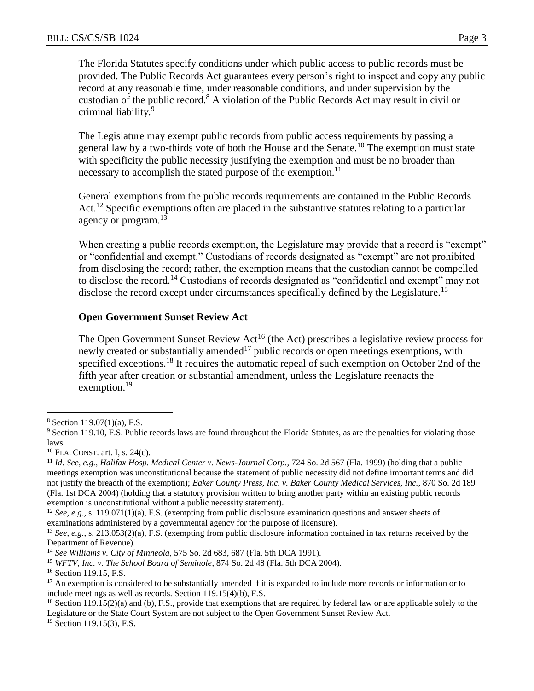The Florida Statutes specify conditions under which public access to public records must be provided. The Public Records Act guarantees every person's right to inspect and copy any public record at any reasonable time, under reasonable conditions, and under supervision by the custodian of the public record.<sup>8</sup> A violation of the Public Records Act may result in civil or criminal liability.<sup>9</sup>

The Legislature may exempt public records from public access requirements by passing a general law by a two-thirds vote of both the House and the Senate.<sup>10</sup> The exemption must state with specificity the public necessity justifying the exemption and must be no broader than necessary to accomplish the stated purpose of the exemption.<sup>11</sup>

General exemptions from the public records requirements are contained in the Public Records Act.<sup>12</sup> Specific exemptions often are placed in the substantive statutes relating to a particular agency or program.<sup>13</sup>

When creating a public records exemption, the Legislature may provide that a record is "exempt" or "confidential and exempt." Custodians of records designated as "exempt" are not prohibited from disclosing the record; rather, the exemption means that the custodian cannot be compelled to disclose the record.<sup>14</sup> Custodians of records designated as "confidential and exempt" may not disclose the record except under circumstances specifically defined by the Legislature.<sup>15</sup>

#### **Open Government Sunset Review Act**

The Open Government Sunset Review Act<sup>16</sup> (the Act) prescribes a legislative review process for newly created or substantially amended<sup>17</sup> public records or open meetings exemptions, with specified exceptions.<sup>18</sup> It requires the automatic repeal of such exemption on October 2nd of the fifth year after creation or substantial amendment, unless the Legislature reenacts the exemption.<sup>19</sup>

 $\overline{a}$ 

 $8$  Section 119.07(1)(a), F.S.

<sup>&</sup>lt;sup>9</sup> Section 119.10, F.S. Public records laws are found throughout the Florida Statutes, as are the penalties for violating those laws.

 $10$  FLA. CONST. art. I, s. 24(c).

<sup>11</sup> *Id*. *See, e.g.*, *Halifax Hosp. Medical Center v. News-Journal Corp.,* 724 So. 2d 567 (Fla. 1999) (holding that a public meetings exemption was unconstitutional because the statement of public necessity did not define important terms and did not justify the breadth of the exemption); *Baker County Press, Inc. v. Baker County Medical Services, Inc.*, 870 So. 2d 189 (Fla. 1st DCA 2004) (holding that a statutory provision written to bring another party within an existing public records exemption is unconstitutional without a public necessity statement).

<sup>&</sup>lt;sup>12</sup> *See, e.g.*, s. 119.071(1)(a), F.S. (exempting from public disclosure examination questions and answer sheets of examinations administered by a governmental agency for the purpose of licensure).

<sup>&</sup>lt;sup>13</sup> *See, e.g.*, s. 213.053(2)(a), F.S. (exempting from public disclosure information contained in tax returns received by the Department of Revenue).

<sup>14</sup> *See Williams v. City of Minneola*, 575 So. 2d 683, 687 (Fla. 5th DCA 1991).

<sup>15</sup> *WFTV, Inc. v. The School Board of Seminole*, 874 So. 2d 48 (Fla. 5th DCA 2004).

<sup>&</sup>lt;sup>16</sup> Section 119.15, F.S.

 $17$  An exemption is considered to be substantially amended if it is expanded to include more records or information or to include meetings as well as records. Section 119.15(4)(b), F.S.

 $18$  Section 119.15(2)(a) and (b), F.S., provide that exemptions that are required by federal law or are applicable solely to the Legislature or the State Court System are not subject to the Open Government Sunset Review Act.

<sup>&</sup>lt;sup>19</sup> Section 119.15(3), F.S.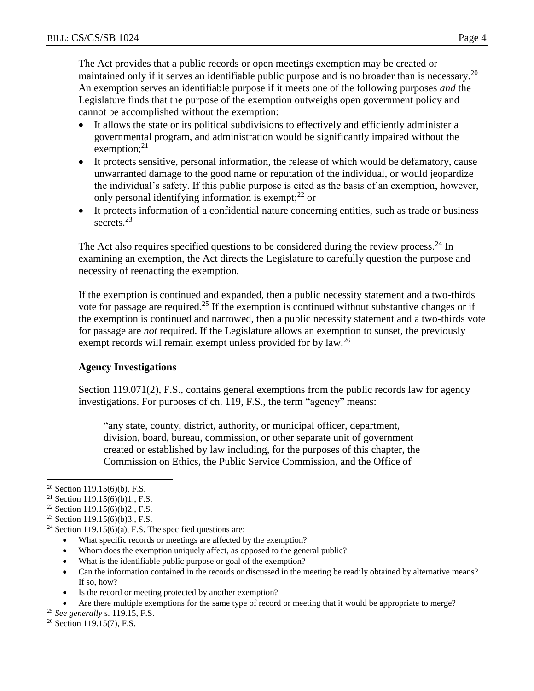The Act provides that a public records or open meetings exemption may be created or maintained only if it serves an identifiable public purpose and is no broader than is necessary.<sup>20</sup> An exemption serves an identifiable purpose if it meets one of the following purposes *and* the Legislature finds that the purpose of the exemption outweighs open government policy and cannot be accomplished without the exemption:

- It allows the state or its political subdivisions to effectively and efficiently administer a governmental program, and administration would be significantly impaired without the exemption; $^{21}$
- It protects sensitive, personal information, the release of which would be defamatory, cause unwarranted damage to the good name or reputation of the individual, or would jeopardize the individual's safety. If this public purpose is cited as the basis of an exemption, however, only personal identifying information is exempt;  $2^{2}$  or
- It protects information of a confidential nature concerning entities, such as trade or business secrets<sup>23</sup>

The Act also requires specified questions to be considered during the review process.<sup>24</sup> In examining an exemption, the Act directs the Legislature to carefully question the purpose and necessity of reenacting the exemption.

If the exemption is continued and expanded, then a public necessity statement and a two-thirds vote for passage are required.<sup>25</sup> If the exemption is continued without substantive changes or if the exemption is continued and narrowed, then a public necessity statement and a two-thirds vote for passage are *not* required. If the Legislature allows an exemption to sunset, the previously exempt records will remain exempt unless provided for by law.<sup>26</sup>

## **Agency Investigations**

Section 119.071(2), F.S., contains general exemptions from the public records law for agency investigations. For purposes of ch. 119, F.S., the term "agency" means:

"any state, county, district, authority, or municipal officer, department, division, board, bureau, commission, or other separate unit of government created or established by law including, for the purposes of this chapter, the Commission on Ethics, the Public Service Commission, and the Office of

 $\overline{a}$ 

- Whom does the exemption uniquely affect, as opposed to the general public?
- What is the identifiable public purpose or goal of the exemption?
- Can the information contained in the records or discussed in the meeting be readily obtained by alternative means? If so, how?
- Is the record or meeting protected by another exemption?
- Are there multiple exemptions for the same type of record or meeting that it would be appropriate to merge?

 $20$  Section 119.15(6)(b), F.S.

<sup>&</sup>lt;sup>21</sup> Section 119.15(6)(b)1., F.S.

<sup>&</sup>lt;sup>22</sup> Section 119.15(6)(b)2., F.S.

<sup>&</sup>lt;sup>23</sup> Section 119.15(6)(b)3., F.S.

<sup>&</sup>lt;sup>24</sup> Section 119.15(6)(a), F.S. The specified questions are:

What specific records or meetings are affected by the exemption?

<sup>25</sup> *See generally* s. 119.15, F.S.

<sup>&</sup>lt;sup>26</sup> Section 119.15(7), F.S.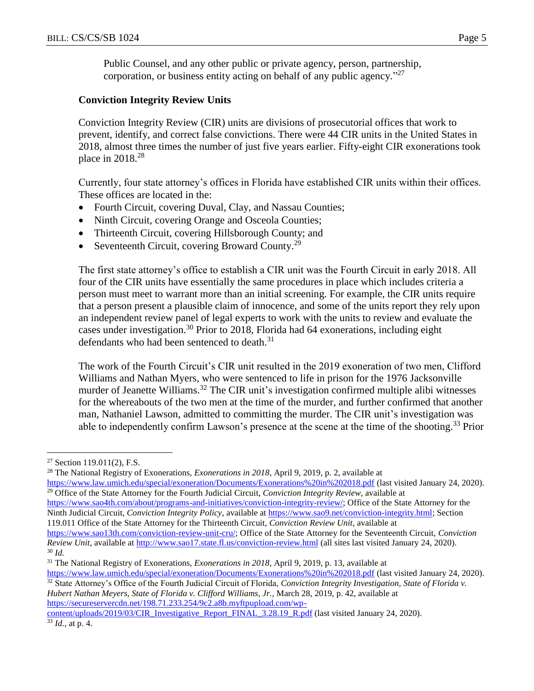Public Counsel, and any other public or private agency, person, partnership, corporation, or business entity acting on behalf of any public agency."<sup>27</sup>

## **Conviction Integrity Review Units**

Conviction Integrity Review (CIR) units are divisions of prosecutorial offices that work to prevent, identify, and correct false convictions. There were 44 CIR units in the United States in 2018, almost three times the number of just five years earlier. Fifty-eight CIR exonerations took place in 2018.<sup>28</sup>

Currently, four state attorney's offices in Florida have established CIR units within their offices. These offices are located in the:

- Fourth Circuit, covering Duval, Clay, and Nassau Counties;
- Ninth Circuit, covering Orange and Osceola Counties;
- Thirteenth Circuit, covering Hillsborough County; and
- Seventeenth Circuit, covering Broward County.<sup>29</sup>

The first state attorney's office to establish a CIR unit was the Fourth Circuit in early 2018. All four of the CIR units have essentially the same procedures in place which includes criteria a person must meet to warrant more than an initial screening. For example, the CIR units require that a person present a plausible claim of innocence, and some of the units report they rely upon an independent review panel of legal experts to work with the units to review and evaluate the cases under investigation.<sup>30</sup> Prior to 2018, Florida had 64 exonerations, including eight defendants who had been sentenced to death.<sup>31</sup>

The work of the Fourth Circuit's CIR unit resulted in the 2019 exoneration of two men, Clifford Williams and Nathan Myers, who were sentenced to life in prison for the 1976 Jacksonville murder of Jeanette Williams.<sup>32</sup> The CIR unit's investigation confirmed multiple alibi witnesses for the whereabouts of the two men at the time of the murder, and further confirmed that another man, Nathaniel Lawson, admitted to committing the murder. The CIR unit's investigation was able to independently confirm Lawson's presence at the scene at the time of the shooting.<sup>33</sup> Prior

<sup>28</sup> The National Registry of Exonerations, *Exonerations in 2018*, April 9, 2019, p. 2, available at <https://www.law.umich.edu/special/exoneration/Documents/Exonerations%20in%202018.pdf> (last visited January 24, 2020). <sup>29</sup> Office of the State Attorney for the Fourth Judicial Circuit, *Conviction Integrity Review*, available at [https://www.sao4th.com/about/programs-and-initiatives/conviction-integrity-review/;](https://www.sao4th.com/about/programs-and-initiatives/conviction-integrity-review/) Office of the State Attorney for the

Ninth Judicial Circuit, *Conviction Integrity Policy*, available at [https://www.sao9.net/conviction-integrity.html;](https://www.sao9.net/conviction-integrity.html) Section 119.011 Office of the State Attorney for the Thirteenth Circuit, *Conviction Review Unit*, available at

*Hubert Nathan Meyers, State of Florida v. Clifford Williams, Jr.*, March 28, 2019, p. 42, available at [https://secureservercdn.net/198.71.233.254/9c2.a8b.myftpupload.com/wp-](https://secureservercdn.net/198.71.233.254/9c2.a8b.myftpupload.com/wp-content/uploads/2019/03/CIR_Investigative_Report_FINAL_3.28.19_R.pdf)

[content/uploads/2019/03/CIR\\_Investigative\\_Report\\_FINAL\\_3.28.19\\_R.pdf](https://secureservercdn.net/198.71.233.254/9c2.a8b.myftpupload.com/wp-content/uploads/2019/03/CIR_Investigative_Report_FINAL_3.28.19_R.pdf) (last visited January 24, 2020). <sup>33</sup> *Id.*, at p. 4.

 $\overline{a}$  $27$  Section 119.011(2), F.S.

[https://www.sao13th.com/conviction-review-unit-cru/;](https://www.sao13th.com/conviction-review-unit-cru/) Office of the State Attorney for the Seventeenth Circuit, *Conviction Review Unit*, available at<http://www.sao17.state.fl.us/conviction-review.html> (all sites last visited January 24, 2020). <sup>30</sup> *Id.*

<sup>31</sup> The National Registry of Exonerations, *Exonerations in 2018*, April 9, 2019, p. 13, available at

<https://www.law.umich.edu/special/exoneration/Documents/Exonerations%20in%202018.pdf> (last visited January 24, 2020). <sup>32</sup> State Attorney's Office of the Fourth Judicial Circuit of Florida, *Conviction Integrity Investigation, State of Florida v.*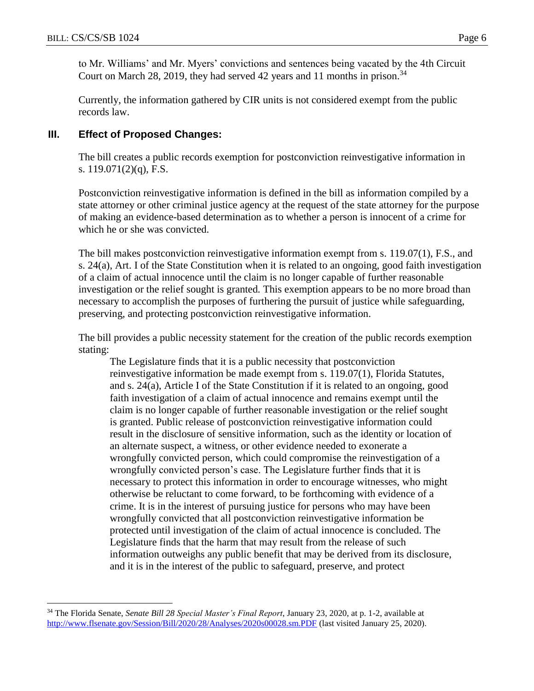$\overline{a}$ 

to Mr. Williams' and Mr. Myers' convictions and sentences being vacated by the 4th Circuit Court on March 28, 2019, they had served 42 years and 11 months in prison.<sup>34</sup>

Currently, the information gathered by CIR units is not considered exempt from the public records law.

#### **III. Effect of Proposed Changes:**

The bill creates a public records exemption for postconviction reinvestigative information in s. 119.071(2)(q), F.S.

Postconviction reinvestigative information is defined in the bill as information compiled by a state attorney or other criminal justice agency at the request of the state attorney for the purpose of making an evidence-based determination as to whether a person is innocent of a crime for which he or she was convicted.

The bill makes postconviction reinvestigative information exempt from s. 119.07(1), F.S., and s. 24(a), Art. I of the State Constitution when it is related to an ongoing, good faith investigation of a claim of actual innocence until the claim is no longer capable of further reasonable investigation or the relief sought is granted*.* This exemption appears to be no more broad than necessary to accomplish the purposes of furthering the pursuit of justice while safeguarding, preserving, and protecting postconviction reinvestigative information.

The bill provides a public necessity statement for the creation of the public records exemption stating:

The Legislature finds that it is a public necessity that postconviction reinvestigative information be made exempt from s. 119.07(1), Florida Statutes, and s. 24(a), Article I of the State Constitution if it is related to an ongoing, good faith investigation of a claim of actual innocence and remains exempt until the claim is no longer capable of further reasonable investigation or the relief sought is granted. Public release of postconviction reinvestigative information could result in the disclosure of sensitive information, such as the identity or location of an alternate suspect, a witness, or other evidence needed to exonerate a wrongfully convicted person, which could compromise the reinvestigation of a wrongfully convicted person's case. The Legislature further finds that it is necessary to protect this information in order to encourage witnesses, who might otherwise be reluctant to come forward, to be forthcoming with evidence of a crime. It is in the interest of pursuing justice for persons who may have been wrongfully convicted that all postconviction reinvestigative information be protected until investigation of the claim of actual innocence is concluded. The Legislature finds that the harm that may result from the release of such information outweighs any public benefit that may be derived from its disclosure, and it is in the interest of the public to safeguard, preserve, and protect

<sup>34</sup> The Florida Senate, *Senate Bill 28 Special Master's Final Report*, January 23, 2020, at p. 1-2, available at <http://www.flsenate.gov/Session/Bill/2020/28/Analyses/2020s00028.sm.PDF> (last visited January 25, 2020).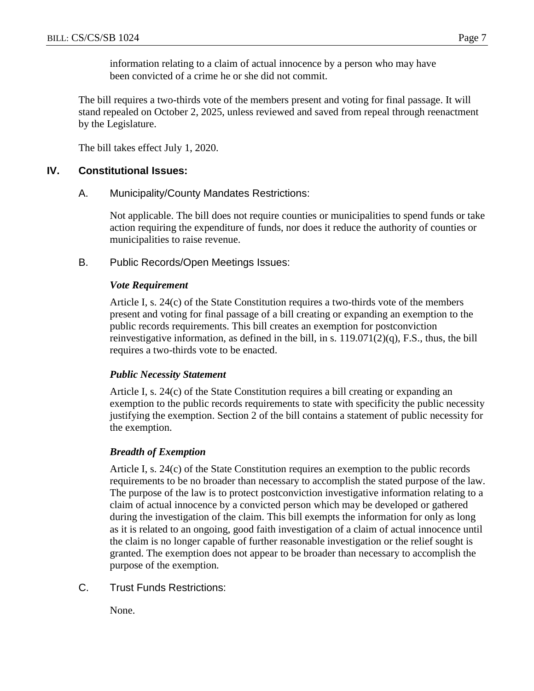information relating to a claim of actual innocence by a person who may have been convicted of a crime he or she did not commit.

The bill requires a two-thirds vote of the members present and voting for final passage. It will stand repealed on October 2, 2025, unless reviewed and saved from repeal through reenactment by the Legislature.

The bill takes effect July 1, 2020.

## **IV. Constitutional Issues:**

#### A. Municipality/County Mandates Restrictions:

Not applicable. The bill does not require counties or municipalities to spend funds or take action requiring the expenditure of funds, nor does it reduce the authority of counties or municipalities to raise revenue.

B. Public Records/Open Meetings Issues:

#### *Vote Requirement*

Article I, s. 24(c) of the State Constitution requires a two-thirds vote of the members present and voting for final passage of a bill creating or expanding an exemption to the public records requirements. This bill creates an exemption for postconviction reinvestigative information, as defined in the bill, in s.  $119.071(2)(q)$ , F.S., thus, the bill requires a two-thirds vote to be enacted.

#### *Public Necessity Statement*

Article I, s. 24(c) of the State Constitution requires a bill creating or expanding an exemption to the public records requirements to state with specificity the public necessity justifying the exemption. Section 2 of the bill contains a statement of public necessity for the exemption.

#### *Breadth of Exemption*

Article I, s. 24(c) of the State Constitution requires an exemption to the public records requirements to be no broader than necessary to accomplish the stated purpose of the law. The purpose of the law is to protect postconviction investigative information relating to a claim of actual innocence by a convicted person which may be developed or gathered during the investigation of the claim. This bill exempts the information for only as long as it is related to an ongoing, good faith investigation of a claim of actual innocence until the claim is no longer capable of further reasonable investigation or the relief sought is granted. The exemption does not appear to be broader than necessary to accomplish the purpose of the exemption.

C. Trust Funds Restrictions:

None.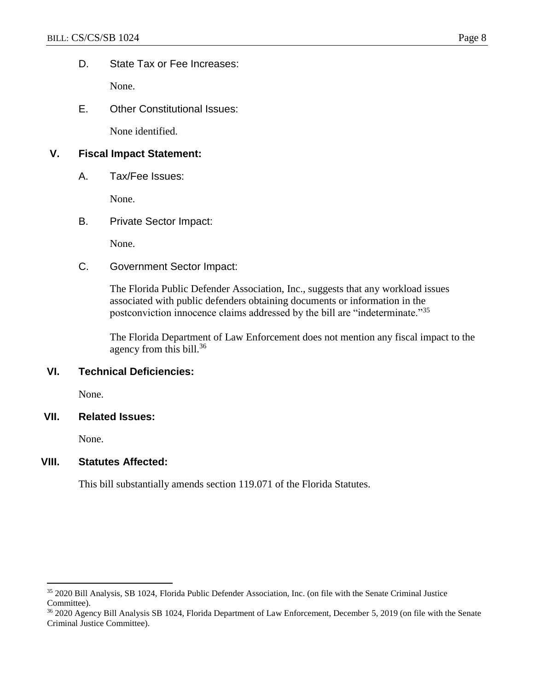D. State Tax or Fee Increases:

None.

E. Other Constitutional Issues:

None identified.

## **V. Fiscal Impact Statement:**

A. Tax/Fee Issues:

None.

B. Private Sector Impact:

None.

C. Government Sector Impact:

The Florida Public Defender Association, Inc., suggests that any workload issues associated with public defenders obtaining documents or information in the postconviction innocence claims addressed by the bill are "indeterminate."<sup>35</sup>

The Florida Department of Law Enforcement does not mention any fiscal impact to the agency from this bill. $36$ 

# **VI. Technical Deficiencies:**

None.

#### **VII. Related Issues:**

None.

 $\overline{a}$ 

#### **VIII. Statutes Affected:**

This bill substantially amends section 119.071 of the Florida Statutes.

<sup>35</sup> 2020 Bill Analysis, SB 1024, Florida Public Defender Association, Inc. (on file with the Senate Criminal Justice Committee).

<sup>&</sup>lt;sup>36</sup> 2020 Agency Bill Analysis SB 1024, Florida Department of Law Enforcement, December 5, 2019 (on file with the Senate Criminal Justice Committee).